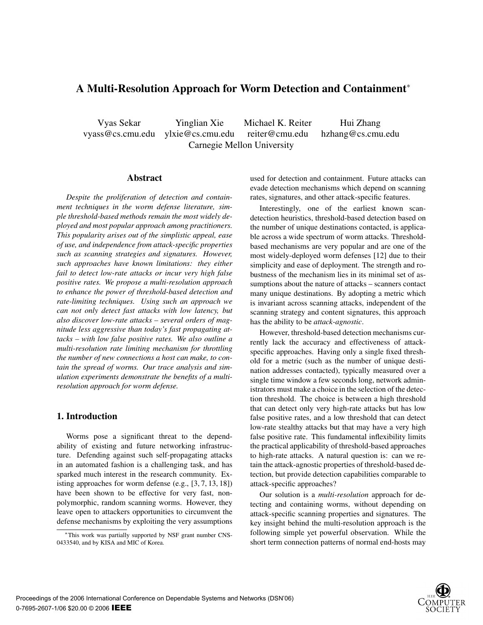# A Multi-Resolution Approach for Worm Detection and Containment<sup>∗</sup>

Vyas Sekar Yinglian Xie Michael K. Reiter Hui Zhang vyass@cs.cmu.edu ylxie@cs.cmu.edu reiter@cmu.edu hzhang@cs.cmu.edu Carnegie Mellon University

### Abstract

*Despite the proliferation of detection and containment techniques in the worm defense literature, simple threshold-based methods remain the most widely deployed and most popular approach among practitioners. This popularity arises out of the simplistic appeal, ease of use, and independence from attack-specific properties such as scanning strategies and signatures. However, such approaches have known limitations: they either fail to detect low-rate attacks or incur very high false positive rates. We propose a multi-resolution approach to enhance the power of threshold-based detection and rate-limiting techniques. Using such an approach we can not only detect fast attacks with low latency, but also discover low-rate attacks – several orders of magnitude less aggressive than today's fast propagating attacks – with low false positive rates. We also outline a multi-resolution rate limiting mechanism for throttling the number of new connections a host can make, to contain the spread of worms. Our trace analysis and simulation experiments demonstrate the benefits of a multiresolution approach for worm defense.*

## 1. Introduction

Worms pose a significant threat to the dependability of existing and future networking infrastructure. Defending against such self-propagating attacks in an automated fashion is a challenging task, and has sparked much interest in the research community. Existing approaches for worm defense (e.g., [3, 7, 13, 18]) have been shown to be effective for very fast, nonpolymorphic, random scanning worms. However, they leave open to attackers opportunities to circumvent the defense mechanisms by exploiting the very assumptions used for detection and containment. Future attacks can evade detection mechanisms which depend on scanning rates, signatures, and other attack-specific features.

Interestingly, one of the earliest known scandetection heuristics, threshold-based detection based on the number of unique destinations contacted, is applicable across a wide spectrum of worm attacks. Thresholdbased mechanisms are very popular and are one of the most widely-deployed worm defenses [12] due to their simplicity and ease of deployment. The strength and robustness of the mechanism lies in its minimal set of assumptions about the nature of attacks – scanners contact many unique destinations. By adopting a metric which is invariant across scanning attacks, independent of the scanning strategy and content signatures, this approach has the ability to be *attack-agnostic*.

However, threshold-based detection mechanisms currently lack the accuracy and effectiveness of attackspecific approaches. Having only a single fixed threshold for a metric (such as the number of unique destination addresses contacted), typically measured over a single time window a few seconds long, network administrators must make a choice in the selection of the detection threshold. The choice is between a high threshold that can detect only very high-rate attacks but has low false positive rates, and a low threshold that can detect low-rate stealthy attacks but that may have a very high false positive rate. This fundamental inflexibility limits the practical applicability of threshold-based approaches to high-rate attacks. A natural question is: can we retain the attack-agnostic properties of threshold-based detection, but provide detection capabilities comparable to attack-specific approaches?

Our solution is a *multi-resolution* approach for detecting and containing worms, without depending on attack-specific scanning properties and signatures. The key insight behind the multi-resolution approach is the following simple yet powerful observation. While the short term connection patterns of normal end-hosts may



<sup>∗</sup>This work was partially supported by NSF grant number CNS-0433540, and by KISA and MIC of Korea.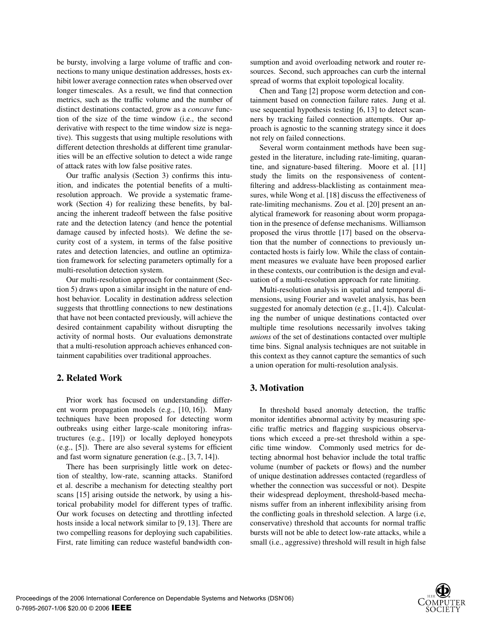be bursty, involving a large volume of traffic and connections to many unique destination addresses, hosts exhibit lower average connection rates when observed over longer timescales. As a result, we find that connection metrics, such as the traffic volume and the number of distinct destinations contacted, grow as a *concave* function of the size of the time window (i.e., the second derivative with respect to the time window size is negative). This suggests that using multiple resolutions with different detection thresholds at different time granularities will be an effective solution to detect a wide range of attack rates with low false positive rates.

Our traffic analysis (Section 3) confirms this intuition, and indicates the potential benefits of a multiresolution approach. We provide a systematic framework (Section 4) for realizing these benefits, by balancing the inherent tradeoff between the false positive rate and the detection latency (and hence the potential damage caused by infected hosts). We define the security cost of a system, in terms of the false positive rates and detection latencies, and outline an optimization framework for selecting parameters optimally for a multi-resolution detection system.

Our multi-resolution approach for containment (Section 5) draws upon a similar insight in the nature of endhost behavior. Locality in destination address selection suggests that throttling connections to new destinations that have not been contacted previously, will achieve the desired containment capability without disrupting the activity of normal hosts. Our evaluations demonstrate that a multi-resolution approach achieves enhanced containment capabilities over traditional approaches.

## 2. Related Work

Prior work has focused on understanding different worm propagation models (e.g., [10, 16]). Many techniques have been proposed for detecting worm outbreaks using either large-scale monitoring infrastructures (e.g., [19]) or locally deployed honeypots (e.g., [5]). There are also several systems for efficient and fast worm signature generation (e.g., [3, 7, 14]).

There has been surprisingly little work on detection of stealthy, low-rate, scanning attacks. Staniford et al. describe a mechanism for detecting stealthy port scans [15] arising outside the network, by using a historical probability model for different types of traffic. Our work focuses on detecting and throttling infected hosts inside a local network similar to [9, 13]. There are two compelling reasons for deploying such capabilities. First, rate limiting can reduce wasteful bandwidth con-

sumption and avoid overloading network and router resources. Second, such approaches can curb the internal spread of worms that exploit topological locality.

Chen and Tang [2] propose worm detection and containment based on connection failure rates. Jung et al. use sequential hypothesis testing [6, 13] to detect scanners by tracking failed connection attempts. Our approach is agnostic to the scanning strategy since it does not rely on failed connections.

Several worm containment methods have been suggested in the literature, including rate-limiting, quarantine, and signature-based filtering. Moore et al. [11] study the limits on the responsiveness of contentfiltering and address-blacklisting as containment measures, while Wong et al. [18] discuss the effectiveness of rate-limiting mechanisms. Zou et al. [20] present an analytical framework for reasoning about worm propagation in the presence of defense mechanisms. Williamson proposed the virus throttle [17] based on the observation that the number of connections to previously uncontacted hosts is fairly low. While the class of containment measures we evaluate have been proposed earlier in these contexts, our contribution is the design and evaluation of a multi-resolution approach for rate limiting.

Multi-resolution analysis in spatial and temporal dimensions, using Fourier and wavelet analysis, has been suggested for anomaly detection (e.g., [1, 4]). Calculating the number of unique destinations contacted over multiple time resolutions necessarily involves taking *unions* of the set of destinations contacted over multiple time bins. Signal analysis techniques are not suitable in this context as they cannot capture the semantics of such a union operation for multi-resolution analysis.

## 3. Motivation

In threshold based anomaly detection, the traffic monitor identifies abnormal activity by measuring specific traffic metrics and flagging suspicious observations which exceed a pre-set threshold within a specific time window. Commonly used metrics for detecting abnormal host behavior include the total traffic volume (number of packets or flows) and the number of unique destination addresses contacted (regardless of whether the connection was successful or not). Despite their widespread deployment, threshold-based mechanisms suffer from an inherent inflexibility arising from the conflicting goals in threshold selection. A large (i.e, conservative) threshold that accounts for normal traffic bursts will not be able to detect low-rate attacks, while a small (i.e., aggressive) threshold will result in high false

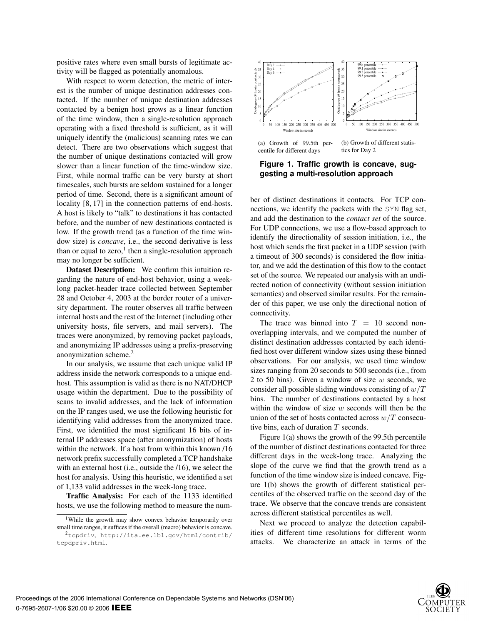positive rates where even small bursts of legitimate activity will be flagged as potentially anomalous.

With respect to worm detection, the metric of interest is the number of unique destination addresses contacted. If the number of unique destination addresses contacted by a benign host grows as a linear function of the time window, then a single-resolution approach operating with a fixed threshold is sufficient, as it will uniquely identify the (malicious) scanning rates we can detect. There are two observations which suggest that the number of unique destinations contacted will grow slower than a linear function of the time-window size. First, while normal traffic can be very bursty at short timescales, such bursts are seldom sustained for a longer period of time. Second, there is a significant amount of locality [8, 17] in the connection patterns of end-hosts. A host is likely to "talk" to destinations it has contacted before, and the number of new destinations contacted is low. If the growth trend (as a function of the time window size) is *concave*, i.e., the second derivative is less than or equal to zero, $<sup>1</sup>$  then a single-resolution approach</sup> may no longer be sufficient.

Dataset Description: We confirm this intuition regarding the nature of end-host behavior, using a weeklong packet-header trace collected between September 28 and October 4, 2003 at the border router of a university department. The router observes all traffic between internal hosts and the rest of the Internet (including other university hosts, file servers, and mail servers). The traces were anonymized, by removing packet payloads, and anonymizing IP addresses using a prefix-preserving anonymization scheme.<sup>2</sup>

In our analysis, we assume that each unique valid IP address inside the network corresponds to a unique endhost. This assumption is valid as there is no NAT/DHCP usage within the department. Due to the possibility of scans to invalid addresses, and the lack of information on the IP ranges used, we use the following heuristic for identifying valid addresses from the anonymized trace. First, we identified the most significant 16 bits of internal IP addresses space (after anonymization) of hosts within the network. If a host from within this known /16 network prefix successfully completed a TCP handshake with an external host (i.e., outside the /16), we select the host for analysis. Using this heuristic, we identified a set of 1,133 valid addresses in the week-long trace.

Traffic Analysis: For each of the 1133 identified hosts, we use the following method to measure the num-



(a) Growth of 99.5th percentile for different days (b) Growth of different statistics for Day 2

#### **Figure 1. Traffic growth is concave, suggesting a multi-resolution approach**

ber of distinct destinations it contacts. For TCP connections, we identify the packets with the SYN flag set, and add the destination to the *contact set* of the source. For UDP connections, we use a flow-based approach to identify the directionality of session initiation, i.e., the host which sends the first packet in a UDP session (with a timeout of 300 seconds) is considered the flow initiator, and we add the destination of this flow to the contact set of the source. We repeated our analysis with an undirected notion of connectivity (without session initiation semantics) and observed similar results. For the remainder of this paper, we use only the directional notion of connectivity.

The trace was binned into  $T = 10$  second nonoverlapping intervals, and we computed the number of distinct destination addresses contacted by each identified host over different window sizes using these binned observations. For our analysis, we used time window sizes ranging from 20 seconds to 500 seconds (i.e., from 2 to 50 bins). Given a window of size  $w$  seconds, we consider all possible sliding windows consisting of  $w/T$ bins. The number of destinations contacted by a host within the window of size  $w$  seconds will then be the union of the set of hosts contacted across  $w/T$  consecutive bins, each of duration T seconds.

Figure 1(a) shows the growth of the 99.5th percentile of the number of distinct destinations contacted for three different days in the week-long trace. Analyzing the slope of the curve we find that the growth trend as a function of the time window size is indeed concave. Figure 1(b) shows the growth of different statistical percentiles of the observed traffic on the second day of the trace. We observe that the concave trends are consistent across different statistical percentiles as well.

Next we proceed to analyze the detection capabilities of different time resolutions for different worm attacks. We characterize an attack in terms of the



<sup>&</sup>lt;sup>1</sup>While the growth may show convex behavior temporarily over small time ranges, it suffices if the overall (macro) behavior is concave. <sup>2</sup>tcpdriv, http://ita.ee.lbl.gov/html/contrib/ tcpdpriv.html.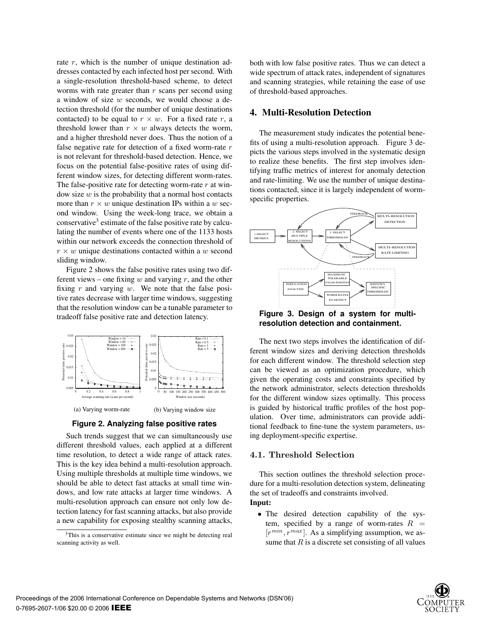rate  $r$ , which is the number of unique destination addresses contacted by each infected host per second. With a single-resolution threshold-based scheme, to detect worms with rate greater than  $r$  scans per second using a window of size w seconds, we would choose a detection threshold (for the number of unique destinations contacted) to be equal to  $r \times w$ . For a fixed rate r, a threshold lower than  $r \times w$  always detects the worm, and a higher threshold never does. Thus the notion of a false negative rate for detection of a fixed worm-rate  $r$ is not relevant for threshold-based detection. Hence, we focus on the potential false-positive rates of using different window sizes, for detecting different worm-rates. The false-positive rate for detecting worm-rate  $r$  at window size  $w$  is the probability that a normal host contacts more than  $r \times w$  unique destination IPs within a w second window. Using the week-long trace, we obtain a conservative<sup>3</sup> estimate of the false positive rate by calculating the number of events where one of the 1133 hosts within our network exceeds the connection threshold of  $r \times w$  unique destinations contacted within a w second sliding window.

Figure 2 shows the false positive rates using two different views – one fixing  $w$  and varying  $r$ , and the other fixing  $r$  and varying  $w$ . We note that the false positive rates decrease with larger time windows, suggesting that the resolution window can be a tunable parameter to tradeoff false positive rate and detection latency.



**Figure 2. Analyzing false positive rates**

Such trends suggest that we can simultaneously use different threshold values, each applied at a different time resolution, to detect a wide range of attack rates. This is the key idea behind a multi-resolution approach. Using multiple thresholds at multiple time windows, we should be able to detect fast attacks at small time windows, and low rate attacks at larger time windows. A multi-resolution approach can ensure not only low detection latency for fast scanning attacks, but also provide a new capability for exposing stealthy scanning attacks,

both with low false positive rates. Thus we can detect a wide spectrum of attack rates, independent of signatures and scanning strategies, while retaining the ease of use of threshold-based approaches.

## 4. Multi-Resolution Detection

The measurement study indicates the potential benefits of using a multi-resolution approach. Figure 3 depicts the various steps involved in the systematic design to realize these benefits. The first step involves identifying traffic metrics of interest for anomaly detection and rate-limiting. We use the number of unique destinations contacted, since it is largely independent of wormspecific properties.



The next two steps involves the identification of different window sizes and deriving detection thresholds for each different window. The threshold selection step can be viewed as an optimization procedure, which given the operating costs and constraints specified by the network administrator, selects detection thresholds for the different window sizes optimally. This process is guided by historical traffic profiles of the host population. Over time, administrators can provide additional feedback to fine-tune the system parameters, using deployment-specific expertise.

#### **4.1. Threshold Selection**

This section outlines the threshold selection procedure for a multi-resolution detection system, delineating the set of tradeoffs and constraints involved. Input:

• The desired detection capability of the system, specified by a range of worm-rates  $R =$  $[r^{min}, r^{max}]$ . As a simplifying assumption, we assume that  $R$  is a discrete set consisting of all values



<sup>3</sup>This is a conservative estimate since we might be detecting real scanning activity as well.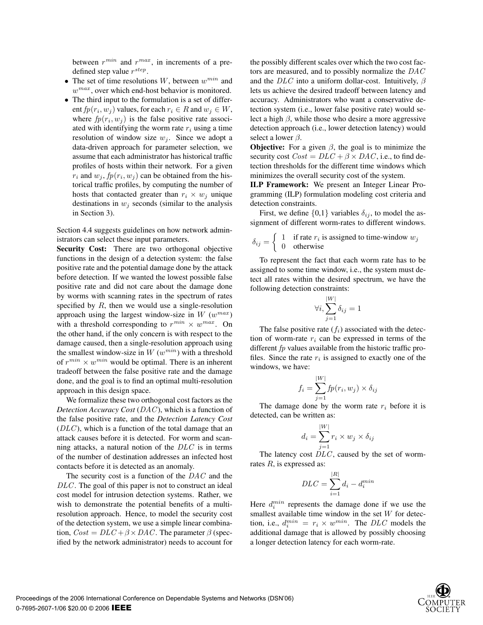between  $r^{min}$  and  $r^{max}$ , in increments of a predefined step value r*step*.

- The set of time resolutions  $W$ , between  $w^{min}$  and w*max* , over which end-host behavior is monitored.
- The third input to the formulation is a set of different  $fp(r_i, w_j)$  values, for each  $r_i \in R$  and  $w_j \in W$ , where  $fp(r_i, w_j)$  is the false positive rate associated with identifying the worm rate  $r_i$  using a time resolution of window size  $w_j$ . Since we adopt a data-driven approach for parameter selection, we assume that each administrator has historical traffic profiles of hosts within their network. For a given  $r_i$  and  $w_j$ ,  $fp(r_i, w_j)$  can be obtained from the historical traffic profiles, by computing the number of hosts that contacted greater than  $r_i \times w_j$  unique destinations in  $w_j$  seconds (similar to the analysis in Section 3).

Section 4.4 suggests guidelines on how network administrators can select these input parameters.

Security Cost: There are two orthogonal objective functions in the design of a detection system: the false positive rate and the potential damage done by the attack before detection. If we wanted the lowest possible false positive rate and did not care about the damage done by worms with scanning rates in the spectrum of rates specified by  $R$ , then we would use a single-resolution approach using the largest window-size in  $W(w^{max})$ with a threshold corresponding to  $r^{min} \times w^{max}$ . On the other hand, if the only concern is with respect to the damage caused, then a single-resolution approach using the smallest window-size in W (w*min*) with a threshold of  $r^{min} \times w^{min}$  would be optimal. There is an inherent tradeoff between the false positive rate and the damage done, and the goal is to find an optimal multi-resolution approach in this design space.

We formalize these two orthogonal cost factors as the *Detection Accuracy Cost* (*DAC* ), which is a function of the false positive rate, and the *Detection Latency Cost* (*DLC* ), which is a function of the total damage that an attack causes before it is detected. For worm and scanning attacks, a natural notion of the *DLC* is in terms of the number of destination addresses an infected host contacts before it is detected as an anomaly.

The security cost is a function of the *DAC* and the *DLC* . The goal of this paper is not to construct an ideal cost model for intrusion detection systems. Rather, we wish to demonstrate the potential benefits of a multiresolution approach. Hence, to model the security cost of the detection system, we use a simple linear combination,  $Cost = DIC + \beta \times DAC$ . The parameter  $\beta$  (specified by the network administrator) needs to account for

the possibly different scales over which the two cost factors are measured, and to possibly normalize the *DAC* and the *DLC* into a uniform dollar-cost. Intuitively,  $\beta$ lets us achieve the desired tradeoff between latency and accuracy. Administrators who want a conservative detection system (i.e., lower false positive rate) would select a high  $\beta$ , while those who desire a more aggressive detection approach (i.e., lower detection latency) would select a lower  $\beta$ .

**Objective:** For a given  $\beta$ , the goal is to minimize the security cost  $Cost = DIC + \beta \times DAC$ , i.e., to find detection thresholds for the different time windows which minimizes the overall security cost of the system.

ILP Framework: We present an Integer Linear Programming (ILP) formulation modeling cost criteria and detection constraints.

First, we define  $\{0,1\}$  variables  $\delta_{ij}$ , to model the assignment of different worm-rates to different windows.

$$
\delta_{ij} = \begin{cases} 1 & \text{if rate } r_i \text{ is assigned to time-window } w_j \\ 0 & \text{otherwise} \end{cases}
$$

To represent the fact that each worm rate has to be assigned to some time window, i.e., the system must detect all rates within the desired spectrum, we have the following detection constraints:

$$
\forall i, \sum_{j=1}^{|W|} \delta_{ij} = 1
$$

The false positive rate  $(f_i)$  associated with the detection of worm-rate  $r_i$  can be expressed in terms of the different *fp* values available from the historic traffic profiles. Since the rate  $r_i$  is assigned to exactly one of the windows, we have:

$$
f_i = \sum_{j=1}^{|W|} fp(r_i, w_j) \times \delta_{ij}
$$

The damage done by the worm rate  $r_i$  before it is detected, can be written as:

$$
d_i = \sum_{j=1}^{|W|} r_i \times w_j \times \delta_{ij}
$$

The latency cost *DLC*, caused by the set of wormrates  $R$ , is expressed as:

$$
DLC = \sum_{i=1}^{|R|} d_i - d_i^{min}
$$

Here  $d_i^{min}$  represents the damage done if we use the smallest available time window in the set  $W$  for detection, i.e.,  $d_i^{min} = r_i \times w^{min}$ . The *DLC* models the additional damage that is allowed by possibly choosing a longer detection latency for each worm-rate.

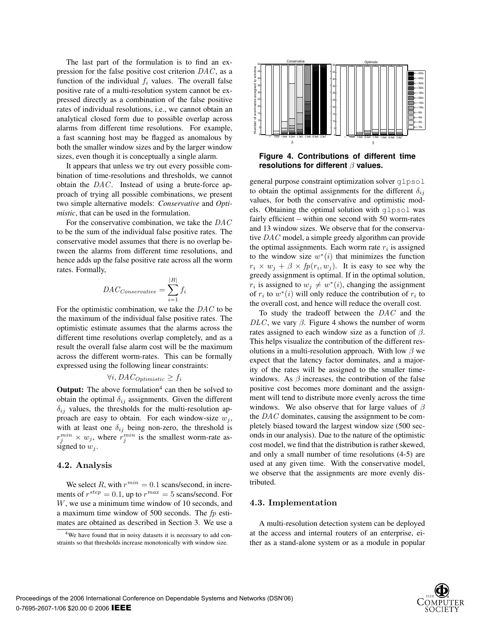The last part of the formulation is to find an expression for the false positive cost criterion *DAC* , as a function of the individual  $f_i$  values. The overall false positive rate of a multi-resolution system cannot be expressed directly as a combination of the false positive rates of individual resolutions, i.e., we cannot obtain an analytical closed form due to possible overlap across alarms from different time resolutions. For example, a fast scanning host may be flagged as anomalous by both the smaller window sizes and by the larger window sizes, even though it is conceptually a single alarm.

It appears that unless we try out every possible combination of time-resolutions and thresholds, we cannot obtain the *DAC* . Instead of using a brute-force approach of trying all possible combinations, we present two simple alternative models: *Conservative* and *Optimistic*, that can be used in the formulation.

For the conservative combination, we take the *DAC* to be the sum of the individual false positive rates. The conservative model assumes that there is no overlap between the alarms from different time resolutions, and hence adds up the false positive rate across all the worm rates. Formally,

$$
DAC_{Conservative} = \sum_{i=1}^{|R|} f_i
$$

For the optimistic combination, we take the *DAC* to be the maximum of the individual false positive rates. The optimistic estimate assumes that the alarms across the different time resolutions overlap completely, and as a result the overall false alarm cost will be the maximum across the different worm-rates. This can be formally expressed using the following linear constraints:

$$
\forall i, DA\,{{\cal C}optimistic} \geq f_i
$$

**Output:** The above formulation $4$  can then be solved to obtain the optimal  $\delta_{ij}$  assignments. Given the different  $\delta_{ij}$  values, the thresholds for the multi-resolution approach are easy to obtain. For each window-size  $w_i$ , with at least one  $\delta_{ij}$  being non-zero, the threshold is  $r_j^{min} \times w_j$ , where  $r_j^{min}$  is the smallest worm-rate assigned to  $w_j$ .

#### **4.2. Analysis**

We select R, with  $r^{min} = 0.1$  scans/second, in increments of  $r^{step} = 0.1$ , up to  $r^{max} = 5$  scans/second. For W, we use a minimum time window of 10 seconds, and a maximum time window of 500 seconds. The *fp* estimates are obtained as described in Section 3. We use a



general purpose constraint optimization solver glpsol to obtain the optimal assignments for the different  $\delta_{ij}$ values, for both the conservative and optimistic models. Obtaining the optimal solution with glpsol was fairly efficient – within one second with 50 worm-rates and 13 window sizes. We observe that for the conservative *DAC* model, a simple greedy algorithm can provide the optimal assignments. Each worm rate  $r_i$  is assigned to the window size  $w^*(i)$  that minimizes the function  $r_i \times w_j + \beta \times fp(r_i, w_j)$ . It is easy to see why the greedy assignment is optimal. If in the optimal solution,  $r_i$  is assigned to  $w_i \neq w^*(i)$ , changing the assignment of  $r_i$  to  $w^*(i)$  will only reduce the contribution of  $r_i$  to the overall cost, and hence will reduce the overall cost.

To study the tradeoff between the *DAC* and the *DLC*, we vary  $β$ . Figure 4 shows the number of worm rates assigned to each window size as a function of  $\beta$ . This helps visualize the contribution of the different resolutions in a multi-resolution approach. With low  $\beta$  we expect that the latency factor dominates, and a majority of the rates will be assigned to the smaller timewindows. As  $\beta$  increases, the contribution of the false positive cost becomes more dominant and the assignment will tend to distribute more evenly across the time windows. We also observe that for large values of  $\beta$ the *DAC* dominates, causing the assignment to be completely biased toward the largest window size (500 seconds in our analysis). Due to the nature of the optimistic cost model, we find that the distribution is rather skewed, and only a small number of time resolutions (4-5) are used at any given time. With the conservative model, we observe that the assignments are more evenly distributed.

#### **4.3. Implementation**

A multi-resolution detection system can be deployed at the access and internal routers of an enterprise, either as a stand-alone system or as a module in popular



<sup>4</sup>We have found that in noisy datasets it is necessary to add constraints so that thresholds increase monotonically with window size.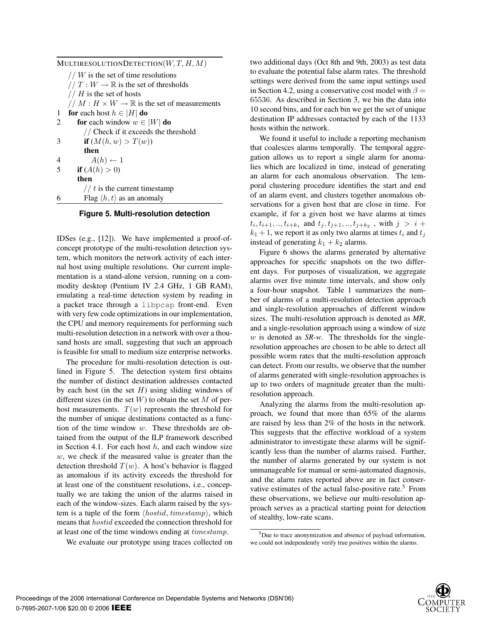|                             | MULTIRESOLUTIONDETECTION $(W, T, H, M)$                       |
|-----------------------------|---------------------------------------------------------------|
|                             | // W is the set of time resolutions                           |
|                             | // $T: W \to \mathbb{R}$ is the set of thresholds             |
|                             | $//H$ is the set of hosts                                     |
|                             | // $M : H \times W \to \mathbb{R}$ is the set of measurements |
| $\mathbf{1}$                | <b>for</b> each host $h \in  H $ <b>do</b>                    |
| $\mathcal{D}_{\mathcal{L}}$ | for each window $w \in  W $ do                                |
|                             | // Check if it exceeds the threshold                          |
| 3                           | if $(M(h, w) > T(w))$                                         |
|                             | then                                                          |
| 4                           | $A(h) \leftarrow 1$                                           |
| 5                           | <b>if</b> $(A(h) > 0)$                                        |
|                             | then                                                          |
|                             | // t is the current timestamp                                 |
|                             | Flag $\langle h, t \rangle$ as an anomaly                     |

#### **Figure 5. Multi-resolution detection**

IDSes (e.g., [12]). We have implemented a proof-ofconcept prototype of the multi-resolution detection system, which monitors the network activity of each internal host using multiple resolutions. Our current implementation is a stand-alone version, running on a commodity desktop (Pentium IV 2.4 GHz, 1 GB RAM), emulating a real-time detection system by reading in a packet trace through a libpcap front-end. Even with very few code optimizations in our implementation, the CPU and memory requirements for performing such multi-resolution detection in a network with over a thousand hosts are small, suggesting that such an approach is feasible for small to medium size enterprise networks.

The procedure for multi-resolution detection is outlined in Figure 5. The detection system first obtains the number of distinct destination addresses contacted by each host (in the set  $H$ ) using sliding windows of different sizes (in the set  $W$ ) to obtain the set  $M$  of perhost measurements.  $T(w)$  represents the threshold for the number of unique destinations contacted as a function of the time window  $w$ . These thresholds are obtained from the output of the ILP framework described in Section 4.1. For each host  $h$ , and each window size  $w$ , we check if the measured value is greater than the detection threshold  $T(w)$ . A host's behavior is flagged as anomalous if its activity exceeds the threshold for at least one of the constituent resolutions, i.e., conceptually we are taking the union of the alarms raised in each of the window-sizes. Each alarm raised by the system is a tuple of the form *(hostid, timestamp)*, which means that *hostid* exceeded the connection threshold for at least one of the time windows ending at *timestamp*.

We evaluate our prototype using traces collected on

two additional days (Oct 8th and 9th, 2003) as test data to evaluate the potential false alarm rates. The threshold settings were derived from the same input settings used in Section 4.2, using a conservative cost model with  $\beta =$ 65536. As described in Section 3, we bin the data into 10 second bins, and for each bin we get the set of unique destination IP addresses contacted by each of the 1133 hosts within the network.

We found it useful to include a reporting mechanism that coalesces alarms temporally. The temporal aggregation allows us to report a single alarm for anomalies which are localized in time, instead of generating an alarm for each anomalous observation. The temporal clustering procedure identifies the start and end of an alarm event, and clusters together anomalous observations for a given host that are close in time. For example, if for a given host we have alarms at times  $t_i, t_{i+1}, ..., t_{i+k_1}$  and  $t_j, t_{j+1}, ..., t_{j+k_2}$ , with  $j > i +$  $k_1 + 1$ , we report it as only two alarms at times  $t_i$  and  $t_j$ instead of generating  $k_1 + k_2$  alarms.

Figure 6 shows the alarms generated by alternative approaches for specific snapshots on the two different days. For purposes of visualization, we aggregate alarms over five minute time intervals, and show only a four-hour snapshot. Table 1 summarizes the number of alarms of a multi-resolution detection approach and single-resolution approaches of different window sizes. The multi-resolution approach is denoted as *MR*, and a single-resolution approach using a window of size  $w$  is denoted as  $SR-w$ . The thresholds for the singleresolution approaches are chosen to be able to detect all possible worm rates that the multi-resolution approach can detect. From our results, we observe that the number of alarms generated with single-resolution approaches is up to two orders of magnitude greater than the multiresolution approach.

Analyzing the alarms from the multi-resolution approach, we found that more than 65% of the alarms are raised by less than 2% of the hosts in the network. This suggests that the effective workload of a system administrator to investigate these alarms will be significantly less than the number of alarms raised. Further, the number of alarms generated by our system is not unmanageable for manual or semi-automated diagnosis, and the alarm rates reported above are in fact conservative estimates of the actual false-positive rate.<sup>5</sup> From these observations, we believe our multi-resolution approach serves as a practical starting point for detection of stealthy, low-rate scans.



<sup>5</sup>Due to trace anonymization and absence of payload information, we could not independently verify true positives within the alarms.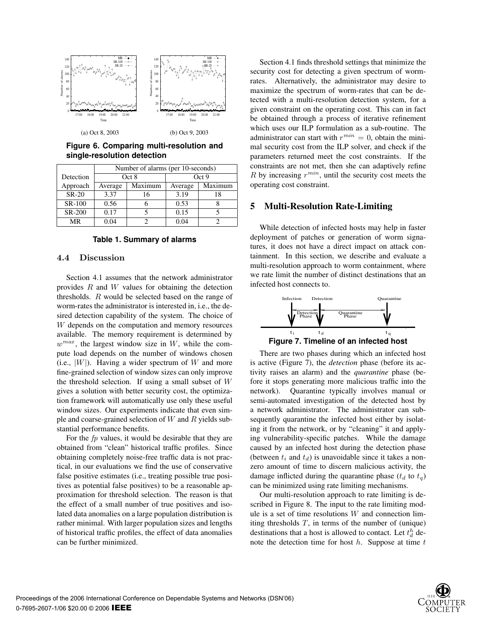

**Figure 6. Comparing multi-resolution and single-resolution detection**

|               | Number of alarms (per 10-seconds) |         |         |         |
|---------------|-----------------------------------|---------|---------|---------|
| Detection     | Oct 8                             |         |         | Oct 9   |
| Approach      | Average                           | Maximum | Average | Maximum |
| $SR-20$       | 3.37                              | 16      | 3.19    | 18      |
| SR-100        | 0.56                              |         | 0.53    |         |
| <b>SR-200</b> | 0.17                              |         | 0.15    |         |
| MR            | 0.04                              |         | 0.04    |         |

#### **Table 1. Summary of alarms**

### **4.4 Discussion**

Section 4.1 assumes that the network administrator provides  $R$  and  $W$  values for obtaining the detection thresholds. R would be selected based on the range of worm-rates the administrator is interested in, i.e., the desired detection capability of the system. The choice of W depends on the computation and memory resources available. The memory requirement is determined by  $w^{max}$ , the largest window size in W, while the compute load depends on the number of windows chosen (i.e.,  $|W|$ ). Having a wider spectrum of W and more fine-grained selection of window sizes can only improve the threshold selection. If using a small subset of  $W$ gives a solution with better security cost, the optimization framework will automatically use only these useful window sizes. Our experiments indicate that even simple and coarse-grained selection of  $W$  and  $R$  yields substantial performance benefits.

For the *fp* values, it would be desirable that they are obtained from "clean" historical traffic profiles. Since obtaining completely noise-free traffic data is not practical, in our evaluations we find the use of conservative false positive estimates (i.e., treating possible true positives as potential false positives) to be a reasonable approximation for threshold selection. The reason is that the effect of a small number of true positives and isolated data anomalies on a large population distribution is rather minimal. With larger population sizes and lengths of historical traffic profiles, the effect of data anomalies can be further minimized.

Section 4.1 finds threshold settings that minimize the security cost for detecting a given spectrum of wormrates. Alternatively, the administrator may desire to maximize the spectrum of worm-rates that can be detected with a multi-resolution detection system, for a given constraint on the operating cost. This can in fact be obtained through a process of iterative refinement which uses our ILP formulation as a sub-routine. The administrator can start with  $r^{min} = 0$ , obtain the minimal security cost from the ILP solver, and check if the parameters returned meet the cost constraints. If the constraints are not met, then she can adaptively refine  $R$  by increasing  $r^{min}$ , until the security cost meets the operating cost constraint.

#### 5 Multi-Resolution Rate-Limiting

While detection of infected hosts may help in faster deployment of patches or generation of worm signatures, it does not have a direct impact on attack containment. In this section, we describe and evaluate a multi-resolution approach to worm containment, where we rate limit the number of distinct destinations that an infected host connects to.





is active (Figure 7), the *detection* phase (before its activity raises an alarm) and the *quarantine* phase (before it stops generating more malicious traffic into the network). Quarantine typically involves manual or semi-automated investigation of the detected host by a network administrator. The administrator can subsequently quarantine the infected host either by isolating it from the network, or by "cleaning" it and applying vulnerability-specific patches. While the damage caused by an infected host during the detection phase (between  $t_i$  and  $t_d$ ) is unavoidable since it takes a nonzero amount of time to discern malicious activity, the damage inflicted during the quarantine phase  $(t_d$  to  $t_q$ ) can be minimized using rate limiting mechanisms.

Our multi-resolution approach to rate limiting is described in Figure 8. The input to the rate limiting module is a set of time resolutions  $W$  and connection limiting thresholds  $T$ , in terms of the number of (unique) destinations that a host is allowed to contact. Let  $t_d^h$  denote the detection time for host  $h$ . Suppose at time  $t$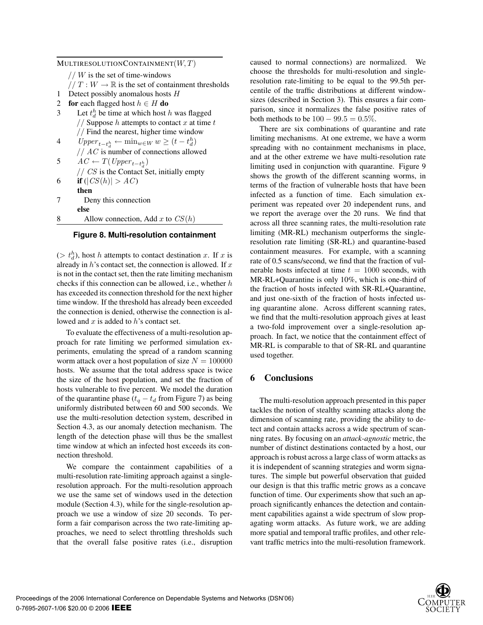| MULTIRESOLUTIONCONTAINMENT $(W, T)$                                |
|--------------------------------------------------------------------|
| // W is the set of time-windows                                    |
| // $T: W \to \mathbb{R}$ is the set of containment thresholds      |
| Detect possibly anomalous hosts H<br>1                             |
| for each flagged host $h \in H$ do<br>2                            |
| Let $t_d^h$ be time at which host h was flagged<br>3               |
| // Suppose $h$ attempts to contact $x$ at time $t$                 |
| $//$ Find the nearest, higher time window                          |
| $Upper_{t-t_a^h} \leftarrow \min_{w \in W} w \ge (t - t_a^h)$<br>4 |
| $// AC$ is number of connections allowed                           |
| 5<br>$AC \leftarrow T(Upper_{t-t_1^h})$                            |
| $// CS$ is the Contact Set, initially empty                        |
| if $( CS(h)  > AC)$<br>6                                           |
| then                                                               |
| 7<br>Deny this connection                                          |
| else                                                               |
| 8<br>Allow connection, Add x to $CS(h)$                            |
| Figure 8. Multi-resolution containment                             |

 $($   $> t_d^h$ ), host *h* attempts to contact destination x. If x is already in  $h$ 's contact set, the connection is allowed. If  $x$ is not in the contact set, then the rate limiting mechanism checks if this connection can be allowed, i.e., whether  $h$ has exceeded its connection threshold for the next higher time window. If the threshold has already been exceeded the connection is denied, otherwise the connection is allowed and  $x$  is added to  $h$ 's contact set.

To evaluate the effectiveness of a multi-resolution approach for rate limiting we performed simulation experiments, emulating the spread of a random scanning worm attack over a host population of size  $N = 100000$ hosts. We assume that the total address space is twice the size of the host population, and set the fraction of hosts vulnerable to five percent. We model the duration of the quarantine phase  $(t_q - t_d)$  from Figure 7) as being uniformly distributed between 60 and 500 seconds. We use the multi-resolution detection system, described in Section 4.3, as our anomaly detection mechanism. The length of the detection phase will thus be the smallest time window at which an infected host exceeds its connection threshold.

We compare the containment capabilities of a multi-resolution rate-limiting approach against a singleresolution approach. For the multi-resolution approach we use the same set of windows used in the detection module (Section 4.3), while for the single-resolution approach we use a window of size 20 seconds. To perform a fair comparison across the two rate-limiting approaches, we need to select throttling thresholds such that the overall false positive rates (i.e., disruption

caused to normal connections) are normalized. We choose the thresholds for multi-resolution and singleresolution rate-limiting to be equal to the 99.5th percentile of the traffic distributions at different windowsizes (described in Section 3). This ensures a fair comparison, since it normalizes the false positive rates of both methods to be  $100 - 99.5 = 0.5\%$ .

There are six combinations of quarantine and rate limiting mechanisms. At one extreme, we have a worm spreading with no containment mechanisms in place, and at the other extreme we have multi-resolution rate limiting used in conjunction with quarantine. Figure 9 shows the growth of the different scanning worms, in terms of the fraction of vulnerable hosts that have been infected as a function of time. Each simulation experiment was repeated over 20 independent runs, and we report the average over the 20 runs. We find that across all three scanning rates, the multi-resolution rate limiting (MR-RL) mechanism outperforms the singleresolution rate limiting (SR-RL) and quarantine-based containment measures. For example, with a scanning rate of 0.5 scans/second, we find that the fraction of vulnerable hosts infected at time  $t = 1000$  seconds, with MR-RL+Quarantine is only 10%, which is one-third of the fraction of hosts infected with SR-RL+Quarantine, and just one-sixth of the fraction of hosts infected using quarantine alone. Across different scanning rates, we find that the multi-resolution approach gives at least a two-fold improvement over a single-resolution approach. In fact, we notice that the containment effect of MR-RL is comparable to that of SR-RL and quarantine used together.

## 6 Conclusions

The multi-resolution approach presented in this paper tackles the notion of stealthy scanning attacks along the dimension of scanning rate, providing the ability to detect and contain attacks across a wide spectrum of scanning rates. By focusing on an *attack-agnostic* metric, the number of distinct destinations contacted by a host, our approach is robust across a large class of worm attacks as it is independent of scanning strategies and worm signatures. The simple but powerful observation that guided our design is that this traffic metric grows as a concave function of time. Our experiments show that such an approach significantly enhances the detection and containment capabilities against a wide spectrum of slow propagating worm attacks. As future work, we are adding more spatial and temporal traffic profiles, and other relevant traffic metrics into the multi-resolution framework.